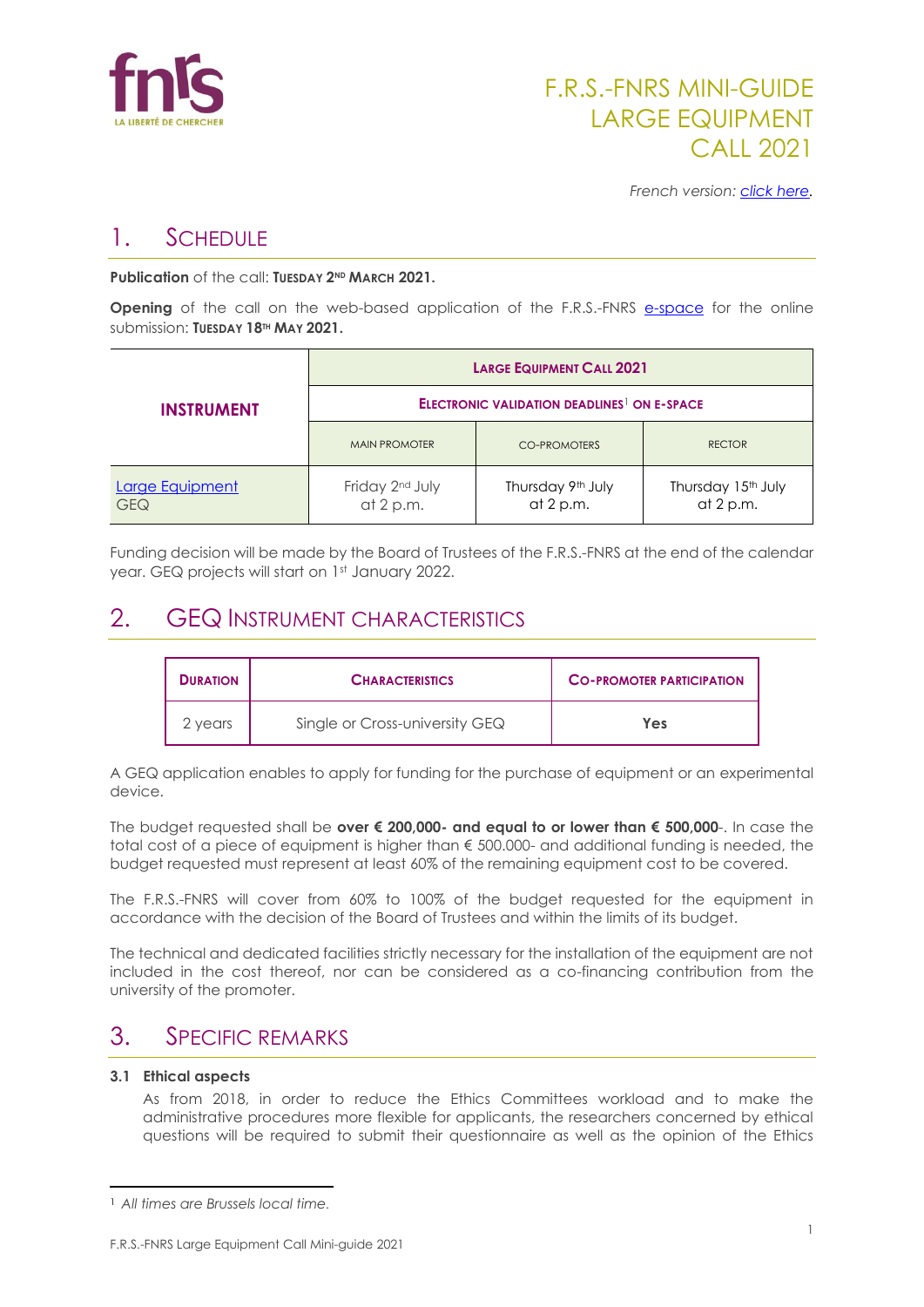

# 1. SCHEDULE

**Publication** of the call: **TUESDAY 2ND MARCH 2021.**

**Opening** of the call on the web-based application of the F.R.S.-FNRS [e-space](https://e-space.frs-fnrs.be/) for the online submission: **TUESDAY 18TH MAY 2021.**

| <b>INSTRUMENT</b>             | <b>LARGE EQUIPMENT CALL 2021</b>                              |                                |                                             |  |
|-------------------------------|---------------------------------------------------------------|--------------------------------|---------------------------------------------|--|
|                               | <b>ELECTRONIC VALIDATION DEADLINES<sup>1</sup> ON E-SPACE</b> |                                |                                             |  |
|                               | <b>MAIN PROMOTER</b>                                          | CO-PROMOTERS                   | <b>RECTOR</b>                               |  |
| Large Equipment<br><b>GEQ</b> | Friday 2nd July<br>at 2 p.m.                                  | Thursday 9th July<br>at 2 p.m. | Thursday 15 <sup>th</sup> July<br>at 2 p.m. |  |

Funding decision will be made by the Board of Trustees of the F.R.S.-FNRS at the end of the calendar year. GEQ projects will start on 1st January 2022.

## 2. GEQ INSTRUMENT CHARACTERISTICS

| <b>DURATION</b> | <b>CHARACTERISTICS</b>         | <b>CO-PROMOTER PARTICIPATION</b> |
|-----------------|--------------------------------|----------------------------------|
| 2 years         | Single or Cross-university GEQ | Yes                              |

A GEQ application enables to apply for funding for the purchase of equipment or an experimental device.

The budget requested shall be **over € 200,000- and equal to or lower than € 500,000**-. In case the total cost of a piece of equipment is higher than € 500.000- and additional funding is needed, the budget requested must represent at least 60% of the remaining equipment cost to be covered.

The F.R.S.-FNRS will cover from 60% to 100% of the budget requested for the equipment in accordance with the decision of the Board of Trustees and within the limits of its budget.

The technical and dedicated facilities strictly necessary for the installation of the equipment are not included in the cost thereof, nor can be considered as a co-financing contribution from the university of the promoter.

### 3. SPECIFIC REMARKS

### **3.1 Ethical aspects**

As from 2018, in order to reduce the Ethics Committees workload and to make the administrative procedures more flexible for applicants, the researchers concerned by ethical questions will be required to submit their questionnaire as well as the opinion of the Ethics

<sup>1</sup> *All times are Brussels local time.*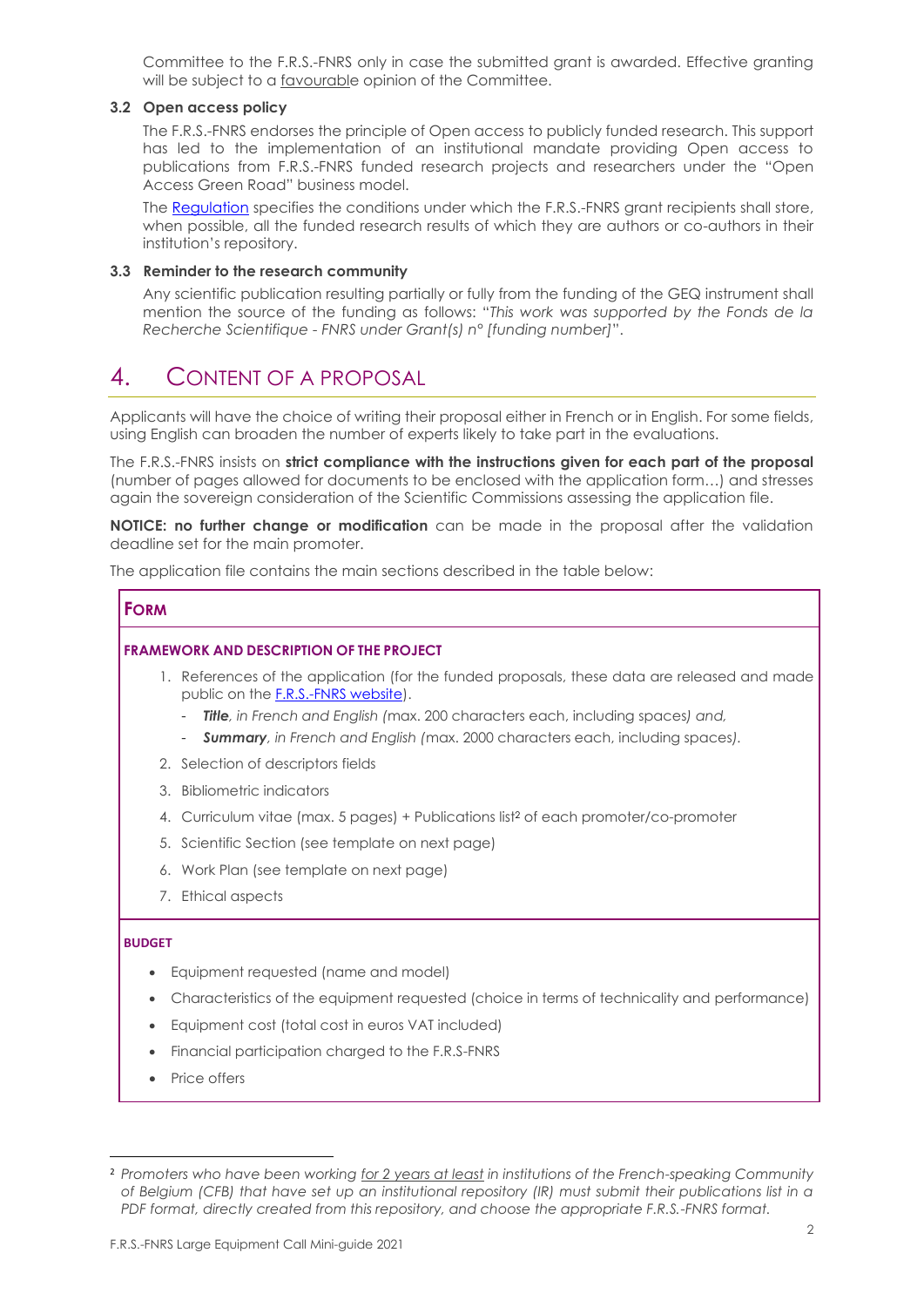Committee to the F.R.S.-FNRS only in case the submitted grant is awarded. Effective granting will be subject to a favourable opinion of the Committee.

#### **3.2 Open access policy**

The F.R.S.-FNRS endorses the principle of Open access to publicly funded research. This support has led to the implementation of an institutional mandate providing Open access to publications from F.R.S.-FNRS funded research projects and researchers under the "Open Access Green Road" business model.

The [Regulation](https://www.frs-fnrs.be/docs/Reglement_OPEN_ACCESS_EN.pdf) specifies the conditions under which the F.R.S.-FNRS grant recipients shall store, when possible, all the funded research results of which they are authors or co-authors in their institution's repository.

#### **3.3 Reminder to the research community**

Any scientific publication resulting partially or fully from the funding of the GEQ instrument shall mention the source of the funding as follows: "*This work was supported by the Fonds de la Recherche Scientifique - FNRS under Grant(s) n° [funding number]*".

## 4. CONTENT OF A PROPOSAL

Applicants will have the choice of writing their proposal either in French or in English. For some fields, using English can broaden the number of experts likely to take part in the evaluations.

The F.R.S.-FNRS insists on **strict compliance with the instructions given for each part of the proposal** (number of pages allowed for documents to be enclosed with the application form…) and stresses again the sovereign consideration of the Scientific Commissions assessing the application file.

**NOTICE: no further change or modification** can be made in the proposal after the validation deadline set for the main promoter.

The application file contains the main sections described in the table below:

#### **FORM**

#### **FRAMEWORK AND DESCRIPTION OF THE PROJECT**

- 1. References of the application (for the funded proposals, these data are released and made public on th[e F.R.S.-FNRS website\)](https://admin.frs-fnrs.be/SITE2/Search/Recherche.cfm).
	- *Title, in French and English (*max. 200 characters each, including spaces*) and,*
	- *Summary, in French and English (*max. 2000 characters each, including spaces*).*
- 2. Selection of descriptors fields
- 3. Bibliometric indicators
- 4. Curriculum vitae (max. 5 pages) + Publications list<sup>2</sup> of each promoter/co-promoter
- 5. Scientific Section (see template on next page)
- 6. Work Plan (see template on next page)
- 7. Ethical aspects

#### **BUDGET**

- Equipment requested (name and model)
- Characteristics of the equipment requested (choice in terms of technicality and performance)
- Equipment cost (total cost in euros VAT included)
- Financial participation charged to the F.R.S-FNRS
- Price offers

<sup>2</sup> *Promoters who have been working for 2 years at least in institutions of the French-speaking Community of Belgium (CFB) that have set up an institutional repository (IR) must submit their publications list in a PDF format, directly created from this repository, and choose the appropriate F.R.S.-FNRS format.*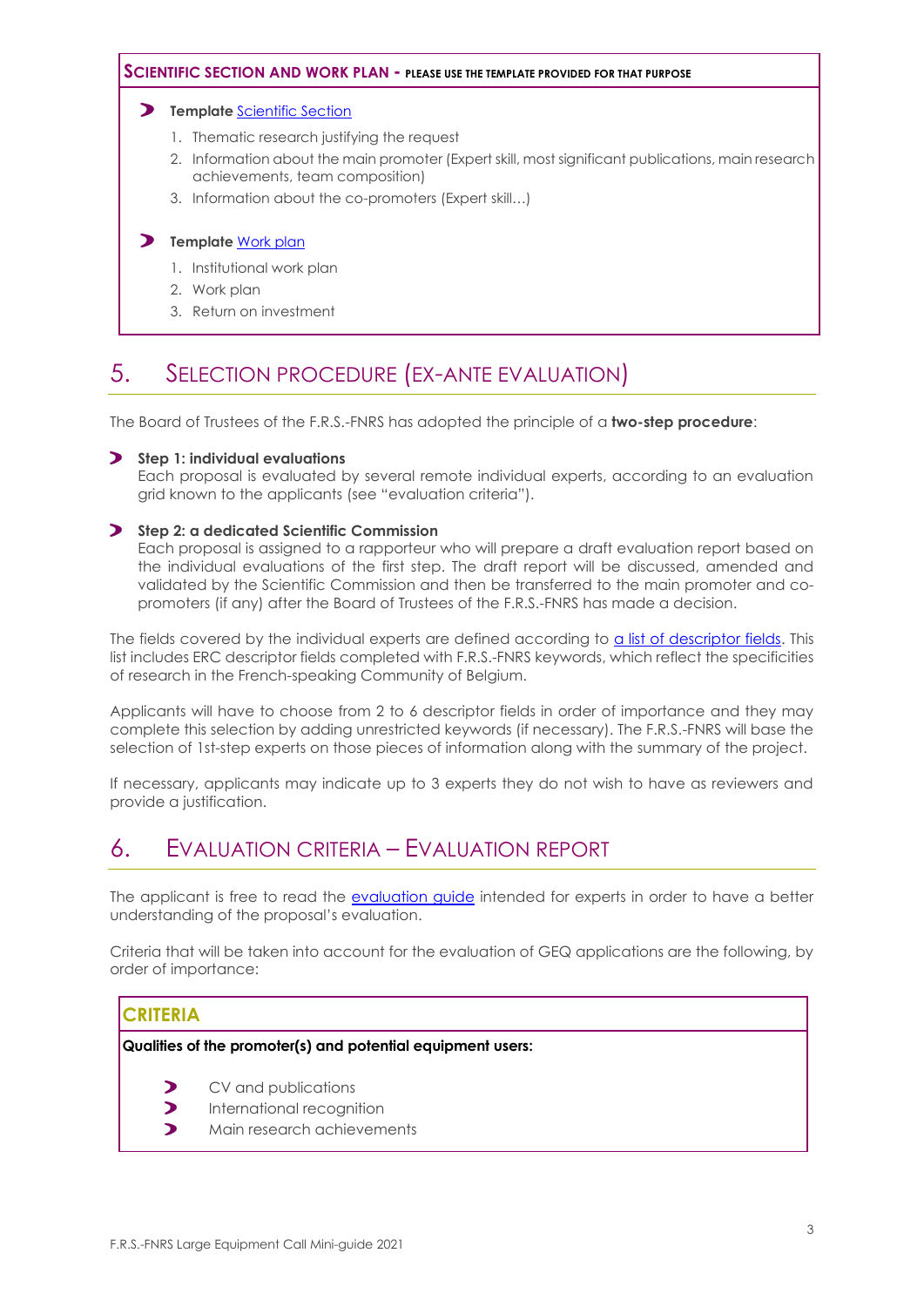#### **SCIENTIFIC SECTION AND WORK PLAN - PLEASE USE THE TEMPLATE PROVIDED FOR THAT PURPOSE**

#### **Template** [Scientific Section](https://e-space.frs-fnrs.be/documents_publics/ressource/geq_partie_scientifique_EN.docx)

- 1. Thematic research justifying the request
- 2. Information about the main promoter (Expert skill, most significant publications, main research achievements, team composition)
- 3. Information about the co-promoters (Expert skill…)

#### **Template** [Work plan](https://e-space.frs-fnrs.be/documents_publics/ressource/geq_plan_gestion_EN.docx)

- 1. Institutional work plan
- 2. Work plan
- 3. Return on investment

## 5. SELECTION PROCEDURE (EX-ANTE EVALUATION)

The Board of Trustees of the F.R.S.-FNRS has adopted the principle of a **two-step procedure**:

#### **Step 1: individual evaluations**

Each proposal is evaluated by several remote individual experts, according to an evaluation grid known to the applicants (see "evaluation criteria").

#### **Step 2: a dedicated Scientific Commission**

Each proposal is assigned to a rapporteur who will prepare a draft evaluation report based on the individual evaluations of the first step. The draft report will be discussed, amended and validated by the Scientific Commission and then be transferred to the main promoter and copromoters (if any) after the Board of Trustees of the F.R.S.-FNRS has made a decision.

The fields covered by the individual experts are defined according to [a list of descriptor fields.](https://www.frs-fnrs.be/docs/Reglement-et-documents/FRS-FNRS_Champs_descripteurs.pdf) This list includes ERC descriptor fields completed with F.R.S.-FNRS keywords, which reflect the specificities of research in the French-speaking Community of Belgium.

Applicants will have to choose from 2 to 6 descriptor fields in order of importance and they may complete this selection by adding unrestricted keywords (if necessary). The F.R.S.-FNRS will base the selection of 1st-step experts on those pieces of information along with the summary of the project.

If necessary, applicants may indicate up to 3 experts they do not wish to have as reviewers and provide a justification.

### 6. EVALUATION CRITERIA – EVALUATION REPORT

The applicant is free to read the [evaluation guide](https://www.frs-fnrs.be/docs/Reglement-et-documents/FRS-FNRS_Guide_Evaluation_EN.pdf) intended for experts in order to have a better understanding of the proposal's evaluation.

Criteria that will be taken into account for the evaluation of GEQ applications are the following, by order of importance:

### **CRITERIA**

**Qualities of the promoter(s) and potential equipment users:**

- $\blacktriangleright$ CV and publications
- $\blacktriangleright$ International recognition
- Main research achievements